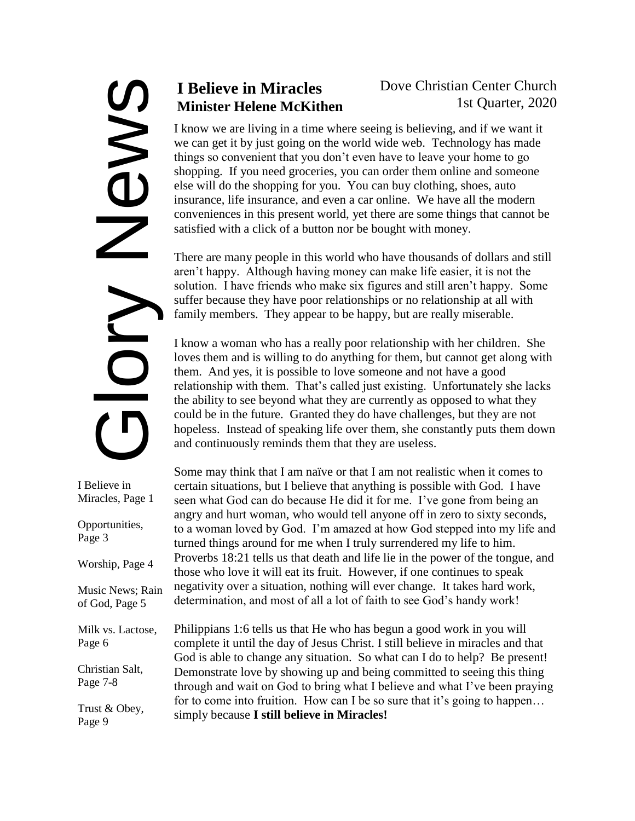# SMONS<br>OND

I Believe in Miracles, Page 1 Opportunities, Page 3 Worship, Page 4 Music News; Rain of God, Page 5 Milk vs. Lactose, Page 6 Christian Salt, Page 7-8 Trust & Obey, Page 9

# **I Believe in Miracles Minister Helene McKithen**

## Dove Christian Center Church 1st Quarter, 2020

I know we are living in a time where seeing is believing, and if we want it we can get it by just going on the world wide web. Technology has made things so convenient that you don't even have to leave your home to go shopping. If you need groceries, you can order them online and someone else will do the shopping for you. You can buy clothing, shoes, auto insurance, life insurance, and even a car online. We have all the modern conveniences in this present world, yet there are some things that cannot be satisfied with a click of a button nor be bought with money.

There are many people in this world who have thousands of dollars and still aren't happy. Although having money can make life easier, it is not the solution. I have friends who make six figures and still aren't happy. Some suffer because they have poor relationships or no relationship at all with family members. They appear to be happy, but are really miserable.

I know a woman who has a really poor relationship with her children. She loves them and is willing to do anything for them, but cannot get along with them. And yes, it is possible to love someone and not have a good relationship with them. That's called just existing. Unfortunately she lacks the ability to see beyond what they are currently as opposed to what they could be in the future. Granted they do have challenges, but they are not hopeless. Instead of speaking life over them, she constantly puts them down and continuously reminds them that they are useless.

Some may think that I am naïve or that I am not realistic when it comes to certain situations, but I believe that anything is possible with God. I have seen what God can do because He did it for me. I've gone from being an angry and hurt woman, who would tell anyone off in zero to sixty seconds, to a woman loved by God. I'm amazed at how God stepped into my life and turned things around for me when I truly surrendered my life to him. Proverbs 18:21 tells us that death and life lie in the power of the tongue, and those who love it will eat its fruit. However, if one continues to speak negativity over a situation, nothing will ever change. It takes hard work, determination, and most of all a lot of faith to see God's handy work!

Philippians 1:6 tells us that He who has begun a good work in you will complete it until the day of Jesus Christ. I still believe in miracles and that God is able to change any situation. So what can I do to help? Be present! Demonstrate love by showing up and being committed to seeing this thing through and wait on God to bring what I believe and what I've been praying for to come into fruition. How can I be so sure that it's going to happen... simply because **I still believe in Miracles!**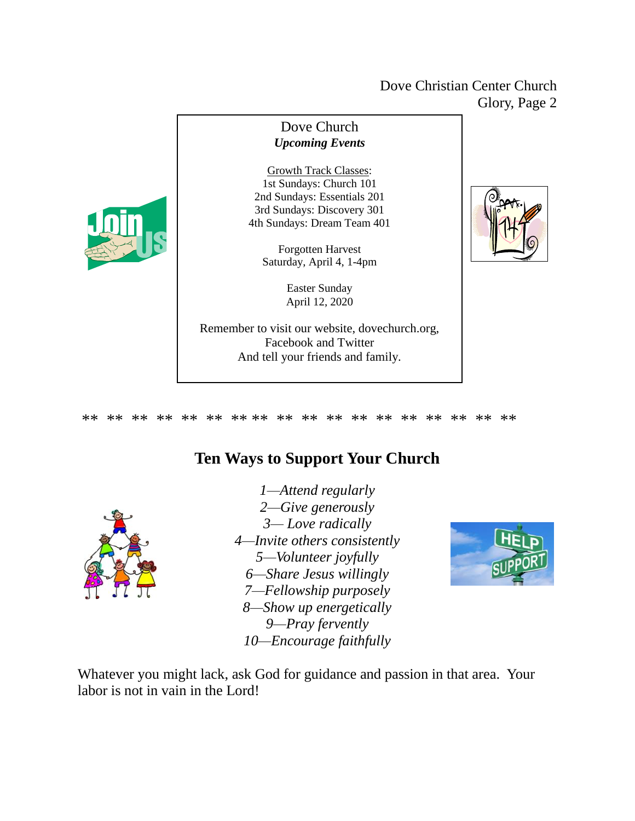### Dove Christian Center Church Glory, Page 2





\*\* \*\* \*\* \*\* \*\* \*\* \*\* \*\* \*\* \*\* \*\* \*\* \*\* \*\* \*\* \*\* \*\* \*\*

# **Ten Ways to Support Your Church**



*1—Attend regularly 2—Give generously 3— Love radically 4—Invite others consistently 5—Volunteer joyfully 6—Share Jesus willingly 7—Fellowship purposely 8—Show up energetically 9—Pray fervently 10—Encourage faithfully*



Whatever you might lack, ask God for guidance and passion in that area. Your labor is not in vain in the Lord!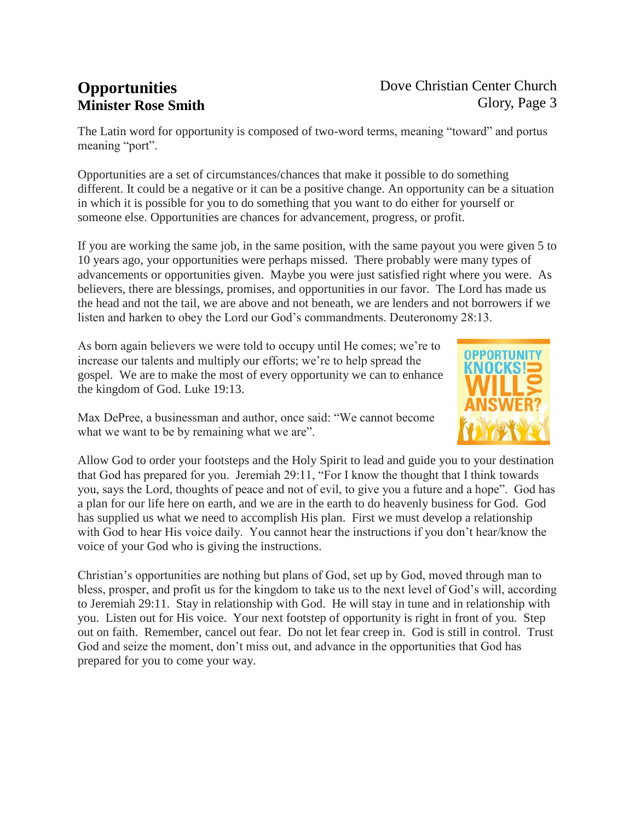# **Opportunities Minister Rose Smith**

### Dove Christian Center Church Glory, Page 3

The Latin word for opportunity is composed of two-word terms, meaning "toward" and portus meaning "port".

Opportunities are a set of circumstances/chances that make it possible to do something different. It could be a negative or it can be a positive change. An opportunity can be a situation in which it is possible for you to do something that you want to do either for yourself or someone else. Opportunities are chances for advancement, progress, or profit.

If you are working the same job, in the same position, with the same payout you were given 5 to 10 years ago, your opportunities were perhaps missed. There probably were many types of advancements or opportunities given. Maybe you were just satisfied right where you were. As believers, there are blessings, promises, and opportunities in our favor. The Lord has made us the head and not the tail, we are above and not beneath, we are lenders and not borrowers if we listen and harken to obey the Lord our God's commandments. Deuteronomy 28:13.

As born again believers we were told to occupy until He comes; we're to increase our talents and multiply our efforts; we're to help spread the gospel. We are to make the most of every opportunity we can to enhance the kingdom of God. Luke 19:13.



Max DePree, a businessman and author, once said: "We cannot become what we want to be by remaining what we are".

Allow God to order your footsteps and the Holy Spirit to lead and guide you to your destination that God has prepared for you. Jeremiah 29:11, "For I know the thought that I think towards you, says the Lord, thoughts of peace and not of evil, to give you a future and a hope". God has a plan for our life here on earth, and we are in the earth to do heavenly business for God. God has supplied us what we need to accomplish His plan. First we must develop a relationship with God to hear His voice daily. You cannot hear the instructions if you don't hear/know the voice of your God who is giving the instructions.

Christian's opportunities are nothing but plans of God, set up by God, moved through man to bless, prosper, and profit us for the kingdom to take us to the next level of God's will, according to Jeremiah 29:11. Stay in relationship with God. He will stay in tune and in relationship with you. Listen out for His voice. Your next footstep of opportunity is right in front of you. Step out on faith. Remember, cancel out fear. Do not let fear creep in. God is still in control. Trust God and seize the moment, don't miss out, and advance in the opportunities that God has prepared for you to come your way.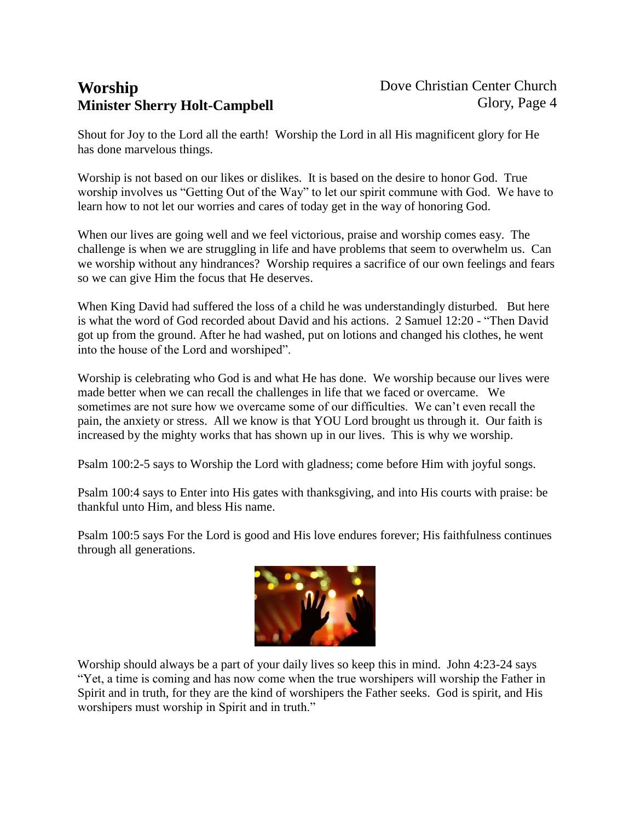# **Worship Minister Sherry Holt-Campbell**

Shout for Joy to the Lord all the earth! Worship the Lord in all His magnificent glory for He has done marvelous things.

Worship is not based on our likes or dislikes. It is based on the desire to honor God. True worship involves us "Getting Out of the Way" to let our spirit commune with God. We have to learn how to not let our worries and cares of today get in the way of honoring God.

When our lives are going well and we feel victorious, praise and worship comes easy. The challenge is when we are struggling in life and have problems that seem to overwhelm us. Can we worship without any hindrances? Worship requires a sacrifice of our own feelings and fears so we can give Him the focus that He deserves.

When King David had suffered the loss of a child he was understandingly disturbed. But here is what the word of God recorded about David and his actions. 2 Samuel 12:20 - "Then David got up from the ground. After he had washed, put on lotions and changed his clothes, he went into the house of the Lord and worshiped".

Worship is celebrating who God is and what He has done. We worship because our lives were made better when we can recall the challenges in life that we faced or overcame. We sometimes are not sure how we overcame some of our difficulties. We can't even recall the pain, the anxiety or stress. All we know is that YOU Lord brought us through it. Our faith is increased by the mighty works that has shown up in our lives. This is why we worship.

Psalm 100:2-5 says to Worship the Lord with gladness; come before Him with joyful songs.

Psalm 100:4 says to Enter into His gates with thanksgiving, and into His courts with praise: be thankful unto Him, and bless His name.

Psalm 100:5 says For the Lord is good and His love endures forever; His faithfulness continues through all generations.



Worship should always be a part of your daily lives so keep this in mind. John 4:23-24 says "Yet, a time is coming and has now come when the true worshipers will worship the Father in Spirit and in truth, for they are the kind of worshipers the Father seeks. God is spirit, and His worshipers must worship in Spirit and in truth."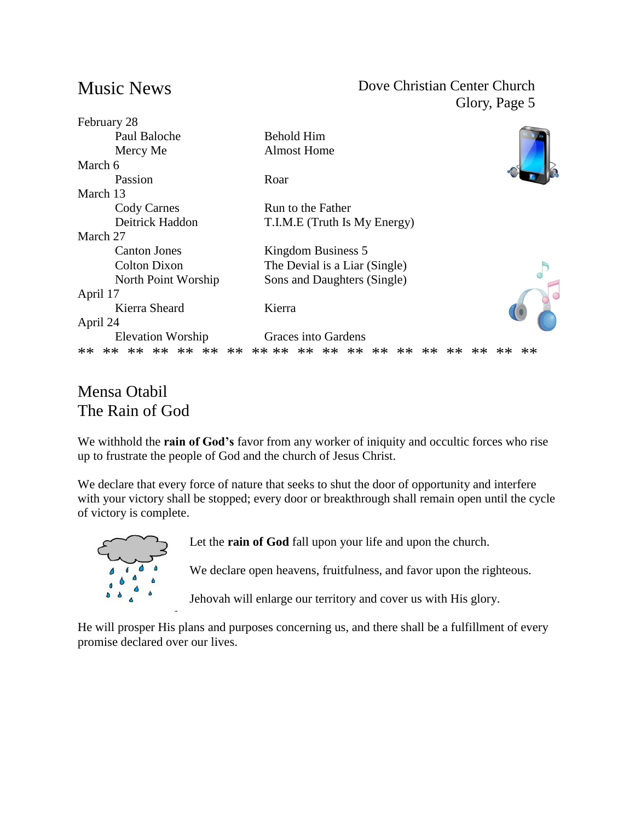# Music News

### Dove Christian Center Church Glory, Page 5

| Paul Baloche<br><b>Behold Him</b><br><b>Almost Home</b><br>Mercy Me<br>March 6 |  |
|--------------------------------------------------------------------------------|--|
|                                                                                |  |
|                                                                                |  |
|                                                                                |  |
| Passion<br>Roar                                                                |  |
| March 13                                                                       |  |
| <b>Cody Carnes</b><br>Run to the Father                                        |  |
| Deitrick Haddon<br>T.I.M.E (Truth Is My Energy)                                |  |
| March 27                                                                       |  |
| <b>Canton Jones</b><br>Kingdom Business 5                                      |  |
| <b>Colton Dixon</b><br>The Devial is a Liar (Single)                           |  |
| Sons and Daughters (Single)<br>North Point Worship                             |  |
| April 17                                                                       |  |
| Kierra Sheard<br>Kierra                                                        |  |
| April 24                                                                       |  |
| Graces into Gardens<br><b>Elevation Worship</b>                                |  |
| ** ** **<br>$**$<br>$**$<br>** **<br>** **<br>**<br>$**$                       |  |

# Mensa Otabil The Rain of God

We withhold the **rain of God's** favor from any worker of iniquity and occultic forces who rise up to frustrate the people of God and the church of Jesus Christ.

We declare that every force of nature that seeks to shut the door of opportunity and interfere with your victory shall be stopped; every door or breakthrough shall remain open until the cycle of victory is complete.



Let the **rain of God** fall upon your life and upon the church.

We declare open heavens, fruitfulness, and favor upon the righteous.

Jehovah will enlarge our territory and cover us with His glory.

He will prosper His plans and purposes concerning us, and there shall be a fulfillment of every promise declared over our lives.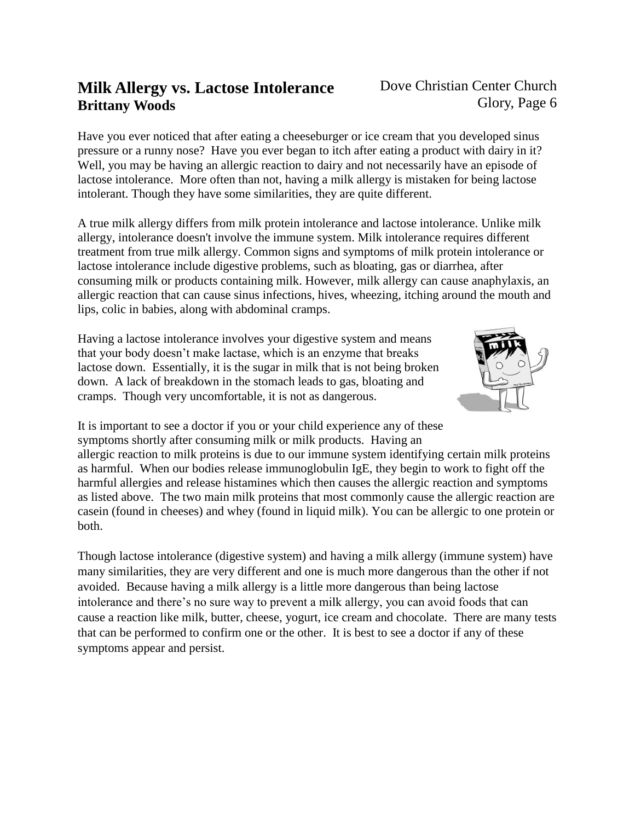# **Milk Allergy vs. Lactose Intolerance Brittany Woods**

Have you ever noticed that after eating a cheeseburger or ice cream that you developed sinus pressure or a runny nose? Have you ever began to itch after eating a product with dairy in it? Well, you may be having an allergic reaction to dairy and not necessarily have an episode of lactose intolerance. More often than not, having a milk allergy is mistaken for being lactose intolerant. Though they have some similarities, they are quite different.

A true milk allergy differs from milk protein intolerance and lactose intolerance. Unlike milk allergy, intolerance doesn't involve the immune system. Milk intolerance requires different treatment from true milk allergy. Common signs and symptoms of milk protein intolerance or lactose intolerance include digestive problems, such as bloating, gas or diarrhea, after consuming milk or products containing milk. However, milk allergy can cause anaphylaxis, an allergic reaction that can cause sinus infections, hives, wheezing, itching around the mouth and lips, colic in babies, along with abdominal cramps.

Having a lactose intolerance involves your digestive system and means that your body doesn't make lactase, which is an enzyme that breaks lactose down. Essentially, it is the sugar in milk that is not being broken down. A lack of breakdown in the stomach leads to gas, bloating and cramps. Though very uncomfortable, it is not as dangerous.



It is important to see a doctor if you or your child experience any of these symptoms shortly after consuming milk or milk products. Having an

allergic reaction to milk proteins is due to our immune system identifying certain milk proteins as harmful. When our bodies release immunoglobulin IgE, they begin to work to fight off the harmful allergies and release histamines which then causes the allergic reaction and symptoms as listed above. The two main milk proteins that most commonly cause the allergic reaction are casein (found in cheeses) and whey (found in liquid milk). You can be allergic to one protein or both.

Though lactose intolerance (digestive system) and having a milk allergy (immune system) have many similarities, they are very different and one is much more dangerous than the other if not avoided. Because having a milk allergy is a little more dangerous than being lactose intolerance and there's no sure way to prevent a milk allergy, you can avoid foods that can cause a reaction like milk, butter, cheese, yogurt, ice cream and chocolate. There are many tests that can be performed to confirm one or the other. It is best to see a doctor if any of these symptoms appear and persist.

### Dove Christian Center Church Glory, Page 6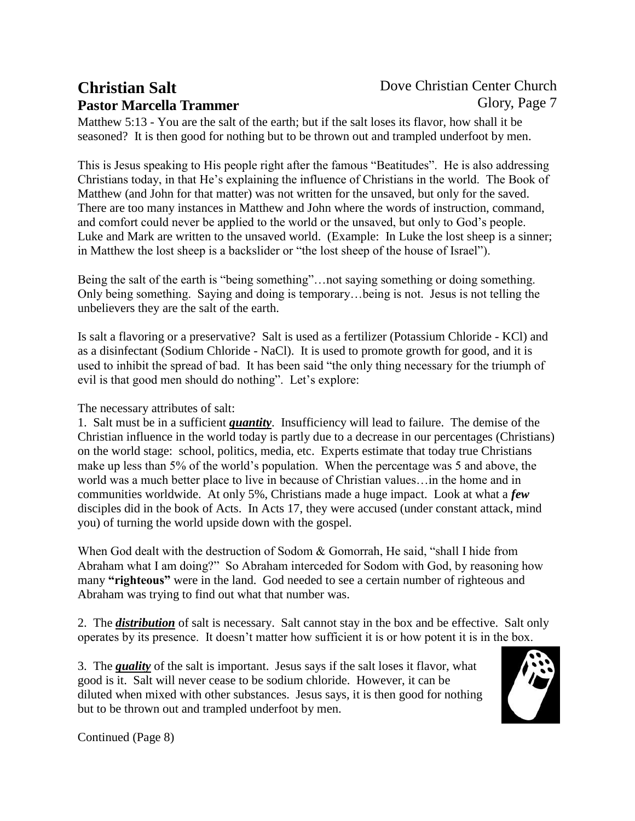# **Christian Salt Pastor Marcella Trammer**

### Dove Christian Center Church Glory, Page 7

Matthew 5:13 - You are the salt of the earth; but if the salt loses its flavor, how shall it be seasoned? It is then good for nothing but to be thrown out and trampled underfoot by men.

This is Jesus speaking to His people right after the famous "Beatitudes". He is also addressing Christians today, in that He's explaining the influence of Christians in the world. The Book of Matthew (and John for that matter) was not written for the unsaved, but only for the saved. There are too many instances in Matthew and John where the words of instruction, command, and comfort could never be applied to the world or the unsaved, but only to God's people. Luke and Mark are written to the unsaved world. (Example: In Luke the lost sheep is a sinner; in Matthew the lost sheep is a backslider or "the lost sheep of the house of Israel").

Being the salt of the earth is "being something"…not saying something or doing something. Only being something. Saying and doing is temporary…being is not. Jesus is not telling the unbelievers they are the salt of the earth.

Is salt a flavoring or a preservative? Salt is used as a fertilizer (Potassium Chloride - KCl) and as a disinfectant (Sodium Chloride - NaCl). It is used to promote growth for good, and it is used to inhibit the spread of bad. It has been said "the only thing necessary for the triumph of evil is that good men should do nothing". Let's explore:

The necessary attributes of salt:

1. Salt must be in a sufficient *quantity*. Insufficiency will lead to failure. The demise of the Christian influence in the world today is partly due to a decrease in our percentages (Christians) on the world stage: school, politics, media, etc. Experts estimate that today true Christians make up less than 5% of the world's population. When the percentage was 5 and above, the world was a much better place to live in because of Christian values…in the home and in communities worldwide. At only 5%, Christians made a huge impact. Look at what a *few* disciples did in the book of Acts. In Acts 17, they were accused (under constant attack, mind you) of turning the world upside down with the gospel.

When God dealt with the destruction of Sodom & Gomorrah, He said, "shall I hide from Abraham what I am doing?" So Abraham interceded for Sodom with God, by reasoning how many **"righteous"** were in the land. God needed to see a certain number of righteous and Abraham was trying to find out what that number was.

2. The *distribution* of salt is necessary. Salt cannot stay in the box and be effective. Salt only operates by its presence. It doesn't matter how sufficient it is or how potent it is in the box.

3. The *quality* of the salt is important. Jesus says if the salt loses it flavor, what good is it. Salt will never cease to be sodium chloride. However, it can be diluted when mixed with other substances. Jesus says, it is then good for nothing but to be thrown out and trampled underfoot by men.



Continued (Page 8)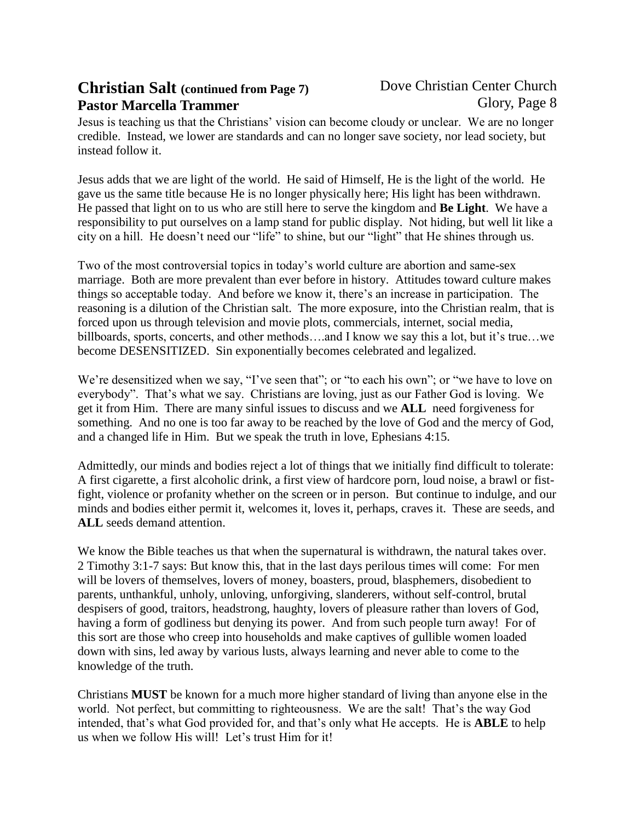# **Christian Salt (continued from Page 7) Pastor Marcella Trammer**

Jesus is teaching us that the Christians' vision can become cloudy or unclear. We are no longer credible. Instead, we lower are standards and can no longer save society, nor lead society, but instead follow it.

Jesus adds that we are light of the world. He said of Himself, He is the light of the world. He gave us the same title because He is no longer physically here; His light has been withdrawn. He passed that light on to us who are still here to serve the kingdom and **Be Light**. We have a responsibility to put ourselves on a lamp stand for public display. Not hiding, but well lit like a city on a hill. He doesn't need our "life" to shine, but our "light" that He shines through us.

Two of the most controversial topics in today's world culture are abortion and same-sex marriage. Both are more prevalent than ever before in history. Attitudes toward culture makes things so acceptable today. And before we know it, there's an increase in participation. The reasoning is a dilution of the Christian salt. The more exposure, into the Christian realm, that is forced upon us through television and movie plots, commercials, internet, social media, billboards, sports, concerts, and other methods….and I know we say this a lot, but it's true…we become DESENSITIZED. Sin exponentially becomes celebrated and legalized.

We're desensitized when we say, "I've seen that"; or "to each his own"; or "we have to love on everybody". That's what we say. Christians are loving, just as our Father God is loving. We get it from Him. There are many sinful issues to discuss and we **ALL** need forgiveness for something. And no one is too far away to be reached by the love of God and the mercy of God, and a changed life in Him. But we speak the truth in love, Ephesians 4:15.

Admittedly, our minds and bodies reject a lot of things that we initially find difficult to tolerate: A first cigarette, a first alcoholic drink, a first view of hardcore porn, loud noise, a brawl or fistfight, violence or profanity whether on the screen or in person. But continue to indulge, and our minds and bodies either permit it, welcomes it, loves it, perhaps, craves it. These are seeds, and **ALL** seeds demand attention.

We know the Bible teaches us that when the supernatural is withdrawn, the natural takes over. 2 Timothy 3:1-7 says: But know this, that in the last days perilous times will come: For men will be lovers of themselves, lovers of money, boasters, proud, blasphemers, disobedient to parents, unthankful, unholy, unloving, unforgiving, slanderers, without self-control, brutal despisers of good, traitors, headstrong, haughty, lovers of pleasure rather than lovers of God, having a form of godliness but denying its power. And from such people turn away! For of this sort are those who creep into households and make captives of gullible women loaded down with sins, led away by various lusts, always learning and never able to come to the knowledge of the truth.

Christians **MUST** be known for a much more higher standard of living than anyone else in the world. Not perfect, but committing to righteousness. We are the salt! That's the way God intended, that's what God provided for, and that's only what He accepts. He is **ABLE** to help us when we follow His will! Let's trust Him for it!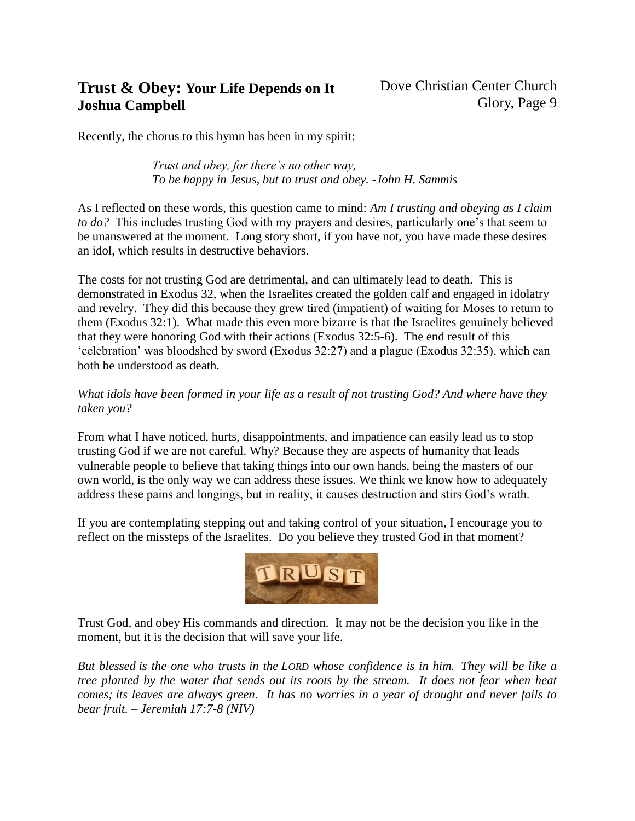# **Trust & Obey: Your Life Depends on It Joshua Campbell**

Recently, the chorus to this hymn has been in my spirit:

*Trust and obey, for there's no other way, To be happy in Jesus, but to trust and obey. -John H. Sammis*

As I reflected on these words, this question came to mind: *Am I trusting and obeying as I claim to do?* This includes trusting God with my prayers and desires, particularly one's that seem to be unanswered at the moment. Long story short, if you have not, you have made these desires an idol, which results in destructive behaviors.

The costs for not trusting God are detrimental, and can ultimately lead to death. This is demonstrated in Exodus 32, when the Israelites created the golden calf and engaged in idolatry and revelry. They did this because they grew tired (impatient) of waiting for Moses to return to them (Exodus 32:1). What made this even more bizarre is that the Israelites genuinely believed that they were honoring God with their actions (Exodus 32:5-6). The end result of this 'celebration' was bloodshed by sword (Exodus 32:27) and a plague (Exodus 32:35), which can both be understood as death.

### *What idols have been formed in your life as a result of not trusting God? And where have they taken you?*

From what I have noticed, hurts, disappointments, and impatience can easily lead us to stop trusting God if we are not careful. Why? Because they are aspects of humanity that leads vulnerable people to believe that taking things into our own hands, being the masters of our own world, is the only way we can address these issues. We think we know how to adequately address these pains and longings, but in reality, it causes destruction and stirs God's wrath.

If you are contemplating stepping out and taking control of your situation, I encourage you to reflect on the missteps of the Israelites. Do you believe they trusted God in that moment?



Trust God, and obey His commands and direction. It may not be the decision you like in the moment, but it is the decision that will save your life.

*But blessed is the one who trusts in the LORD whose confidence is in him. They will be like a tree planted by the water that sends out its roots by the stream. It does not fear when heat comes; its leaves are always green. It has no worries in a year of drought and never fails to bear fruit. – Jeremiah 17:7-8 (NIV)*